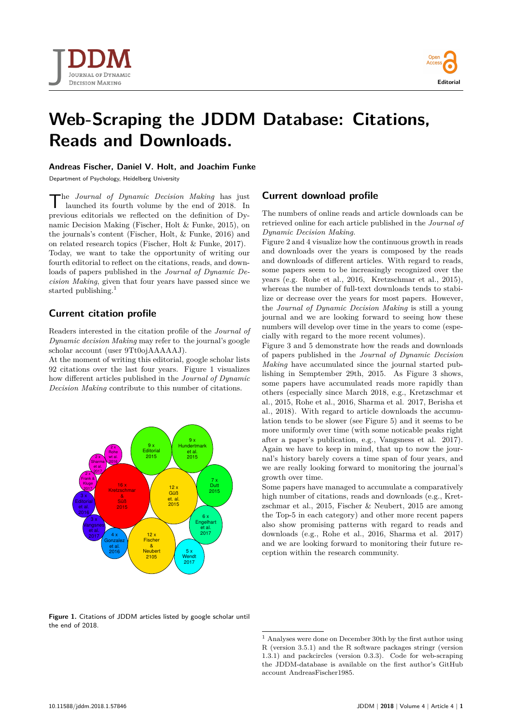



# **Web-Scraping the JDDM Database: Citations, Reads and Downloads.**

#### **Andreas Fischer, Daniel V. Holt, and Joachim Funke**

Department of Psychology, Heidelberg University

The *Journal of Dynamic Decision Making* has just launched its fourth volume by the end of 2018. In previous editorials we reflected on the definition of Dyhe *Journal of Dynamic Decision Making* has just launched its fourth volume by the end of 2018. In namic Decision Making [\(Fischer, Holt & Funke, 2015\)](#page-4-0), on the journals's content [\(Fischer, Holt, & Funke, 2016\)](#page-4-0) and on related research topics [\(Fischer, Holt & Funke, 2017\)](#page-4-0). Today, we want to take the opportunity of writing our fourth editorial to reflect on the citations, reads, and downloads of papers published in the *Journal of Dynamic Decision Making*, given that four years have passed since we started publishing.<sup>[1](#page-0-0)</sup>

## **Current citation profile**

Readers interested in the citation profile of the *Journal of Dynamic decision Making* may refer to [the journal's google](https://scholar.google.de/citations?hl=de&user=9Tt0ojAAAAAJ) [scholar account \(user 9Tt0ojAAAAAJ\).](https://scholar.google.de/citations?hl=de&user=9Tt0ojAAAAAJ)

At the moment of writing this editorial, google scholar lists 92 citations over the last four years. Figure 1 visualizes how different articles published in the *Journal of Dynamic Decision Making* contribute to this number of citations.



### **Current download profile**

The numbers of online reads and article downloads can be retrieved online for each article published in the *Journal of Dynamic Decision Making*.

Figure 2 and 4 visualize how the continuous growth in reads and downloads over the years is composed by the reads and downloads of different articles. With regard to reads, some papers seem to be increasingly recognized over the years (e.g. [Rohe et al., 2016, Kretzschmar et al., 2015\)](#page-4-0), whereas the number of full-text downloads tends to stabilize or decrease over the years for most papers. However, the *Journal of Dynamic Decision Making* is still a young journal and we are looking forward to seeing how these numbers will develop over time in the years to come (especially with regard to the more recent volumes).

Figure 3 and 5 demonstrate how the reads and downloads of papers published in the *Journal of Dynamic Decision Making* have accumulated since the journal started publishing in Semptember 29th, 2015. As Figure 3 shows, some papers have accumulated reads more rapidly than others (especially since March 2018, e.g., [Kretzschmar et](#page-4-0) [al., 2015, Rohe et al., 2016, Sharma et al. 2017, Berisha et](#page-4-0) [al., 2018\)](#page-4-0). With regard to article downloads the accumulation tends to be slower (see Figure 5) and it seems to be more uniformly over time (with some noticable peaks right after a paper's publication, e.g., [Vangsness et al. 2017\)](#page-4-0). Again we have to keep in mind, that up to now the journal's history barely covers a time span of four years, and we are really looking forward to monitoring the journal's growth over time.

Some papers have managed to accumulate a comparatively high number of citations, reads and downloads (e.g., [Kret](#page-4-0)[zschmar et al., 2015, Fischer & Neubert, 2015](#page-4-0) are among the Top-5 in each category) and other more recent papers also show promising patterns with regard to reads and downloads (e.g., [Rohe et al., 2016, Sharma et al. 2017\)](#page-4-0) and we are looking forward to monitoring their future reception within the research community.

Figure 1. Citations of JDDM articles listed by google scholar until the end of 2018.

<span id="page-0-0"></span> $^{\rm 1}$  Analyses were done on December 30th by the first author using R (version 3.5.1) and the R software packages stringr (version 1.3.1) and packcircles (version 0.3.3). Code for web-scraping the JDDM-database is available on the first author's GitHub account [AndreasFischer1985.](https://github.com/AndreasFischer1985)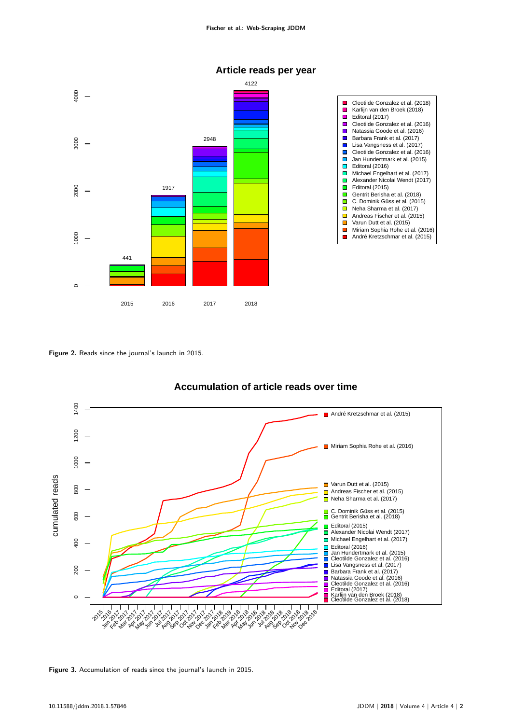

## **Article reads per year**

**Figure 2.** Reads since the journal's launch in 2015.



## **Accumulation of article reads over time**

**Figure 3.** Accumulation of reads since the journal's launch in 2015.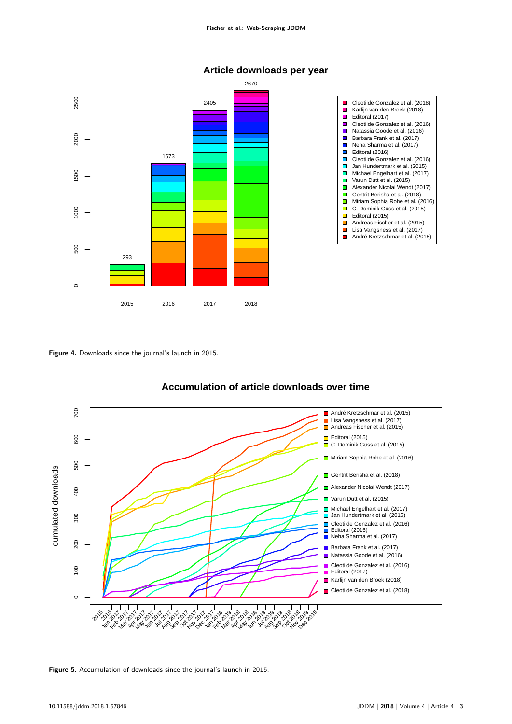

### **Article downloads per year**

**Figure 4.** Downloads since the journal's launch in 2015.



## **Accumulation of article downloads over time**

**Figure 5.** Accumulation of downloads since the journal's launch in 2015.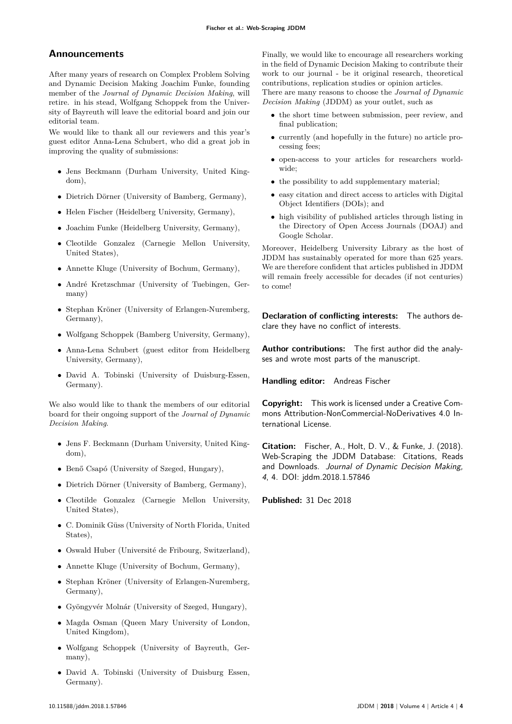#### **Announcements**

After many years of research on Complex Problem Solving and Dynamic Decision Making Joachim Funke, founding member of the *Journal of Dynamic Decision Making*, will retire. in his stead, Wolfgang Schoppek from the University of Bayreuth will leave the editorial board and join our editorial team.

We would like to thank all our reviewers and this year's guest editor Anna-Lena Schubert, who did a great job in improving the quality of submissions:

- Jens Beckmann (Durham University, United Kingdom),
- Dietrich Dörner (University of Bamberg, Germany),
- Helen Fischer (Heidelberg University, Germany),
- Joachim Funke (Heidelberg University, Germany),
- Cleotilde Gonzalez (Carnegie Mellon University, United States),
- Annette Kluge (University of Bochum, Germany),
- André Kretzschmar (University of Tuebingen, Germany)
- Stephan Kröner (University of Erlangen-Nuremberg, Germany),
- Wolfgang Schoppek (Bamberg University, Germany),
- Anna-Lena Schubert (guest editor from Heidelberg University, Germany),
- David A. Tobinski (University of Duisburg-Essen, Germany).

We also would like to thank the members of our editorial board for their ongoing support of the *Journal of Dynamic Decision Making*.

- Jens F. Beckmann (Durham University, United Kingdom),
- Benő Csapó (University of Szeged, Hungary),
- Dietrich Dörner (University of Bamberg, Germany),
- Cleotilde Gonzalez (Carnegie Mellon University, United States),
- C. Dominik Güss (University of North Florida, United States),
- Oswald Huber (Université de Fribourg, Switzerland),
- Annette Kluge (University of Bochum, Germany),
- Stephan Kröner (University of Erlangen-Nuremberg, Germany),
- Gyöngyvér Molnár (University of Szeged, Hungary),
- Magda Osman (Queen Mary University of London, United Kingdom),
- Wolfgang Schoppek (University of Bayreuth, Germany),
- David A. Tobinski (University of Duisburg Essen, Germany).

Finally, we would like to encourage all researchers working in the field of Dynamic Decision Making to contribute their work to our journal - be it original research, theoretical contributions, replication studies or opinion articles.

There are many reasons to choose the *Journal of Dynamic Decision Making* (JDDM) as your outlet, such as

- the short time between submission, peer review, and final publication;
- currently (and hopefully in the future) no article processing fees;
- open-access to your articles for researchers worldwide;
- the possibility to add supplementary material;
- easy citation and direct access to articles with Digital Object Identifiers (DOIs); and
- high visibility of published articles through listing in the Directory of Open Access Journals (DOAJ) and Google Scholar.

Moreover, Heidelberg University Library as the host of JDDM has sustainably operated for more than 625 years. We are therefore confident that articles published in JDDM will remain freely accessible for decades (if not centuries) to come!

**Declaration of conflicting interests:** The authors declare they have no conflict of interests.

**Author contributions:** The first author did the analyses and wrote most parts of the manuscript.

**Handling editor:** Andreas Fischer

**Copyright:** This work is licensed under a Creative Commons Attribution-NonCommercial-NoDerivatives 4.0 International License.

**Citation:** Fischer, A., Holt, D. V., & Funke, J. (2018). Web-Scraping the JDDM Database: Citations, Reads and Downloads. Journal of Dynamic Decision Making, 4, 4. [DOI: jddm.2018.1.57846](https://doi.org/10.11588/jddm.2018.1.57846)

**Published:** 31 Dec 2018